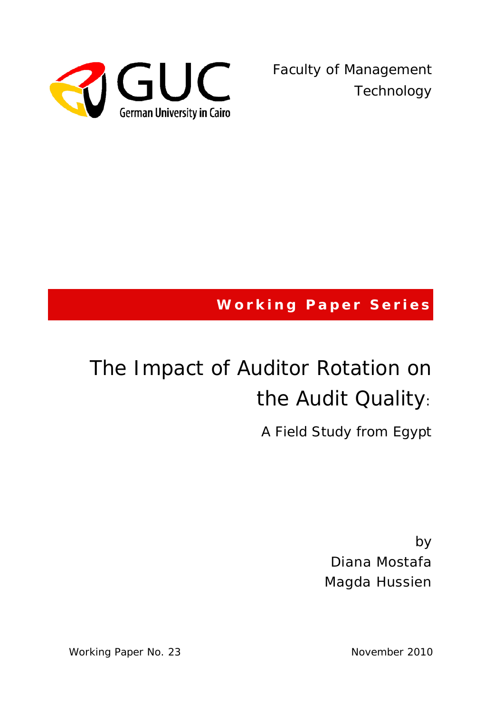

Faculty of Management **Technology** 

# **Working Paper Series**

# The Impact of Auditor Rotation on the Audit Quality:

A Field Study from Egypt

by Diana Mostafa Magda Hussien

Working Paper No. 23 November 2010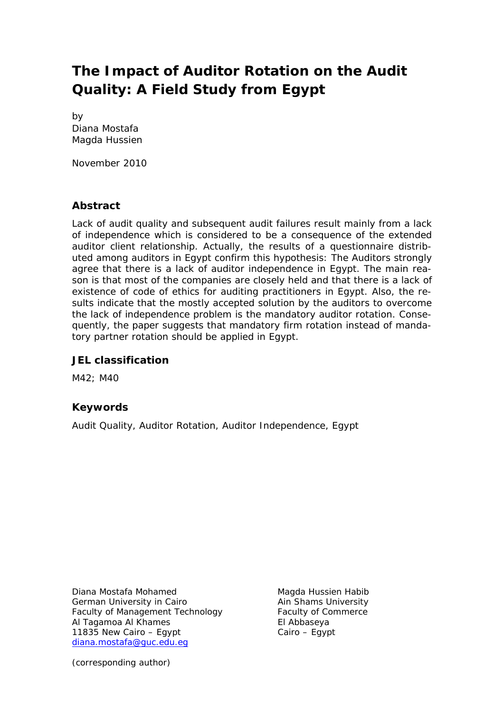# **The Impact of Auditor Rotation on the Audit Quality: A Field Study from Egypt**

| by            |
|---------------|
| Diana Mostafa |
| Magda Hussien |

November 2010

# **Abstract**

Lack of audit quality and subsequent audit failures result mainly from a lack of independence which is considered to be a consequence of the extended auditor client relationship. Actually, the results of a questionnaire distributed among auditors in Egypt confirm this hypothesis: The Auditors strongly agree that there is a lack of auditor independence in Egypt. The main reason is that most of the companies are closely held and that there is a lack of existence of code of ethics for auditing practitioners in Egypt. Also, the results indicate that the mostly accepted solution by the auditors to overcome the lack of independence problem is the mandatory auditor rotation. Consequently, the paper suggests that mandatory firm rotation instead of mandatory partner rotation should be applied in Egypt.

# **JEL classification**

M42; M40

# **Keywords**

Audit Quality, Auditor Rotation, Auditor Independence, Egypt

Diana Mostafa Mohamed Magda Hussien Habib German University in Cairo **Ain Shams University** Faculty of Management Technology Faculty of Commerce Al Tagamoa Al Khames **El Abbaseya** 11835 New Cairo – Egypt Cairo – Egypt diana.mostafa@guc.edu.eg

(corresponding author)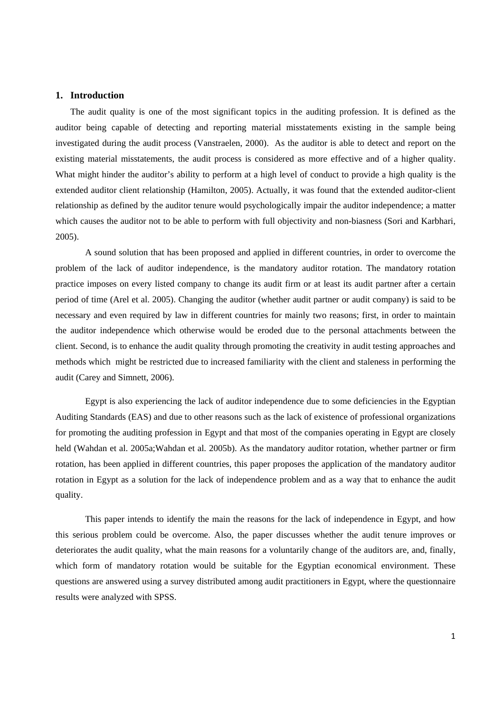#### **1. Introduction**

The audit quality is one of the most significant topics in the auditing profession. It is defined as the auditor being capable of detecting and reporting material misstatements existing in the sample being investigated during the audit process (Vanstraelen, 2000). As the auditor is able to detect and report on the existing material misstatements, the audit process is considered as more effective and of a higher quality. What might hinder the auditor's ability to perform at a high level of conduct to provide a high quality is the extended auditor client relationship (Hamilton, 2005). Actually, it was found that the extended auditor-client relationship as defined by the auditor tenure would psychologically impair the auditor independence; a matter which causes the auditor not to be able to perform with full objectivity and non-biasness (Sori and Karbhari, 2005).

A sound solution that has been proposed and applied in different countries, in order to overcome the problem of the lack of auditor independence, is the mandatory auditor rotation. The mandatory rotation practice imposes on every listed company to change its audit firm or at least its audit partner after a certain period of time (Arel et al. 2005). Changing the auditor (whether audit partner or audit company) is said to be necessary and even required by law in different countries for mainly two reasons; first, in order to maintain the auditor independence which otherwise would be eroded due to the personal attachments between the client. Second, is to enhance the audit quality through promoting the creativity in audit testing approaches and methods which might be restricted due to increased familiarity with the client and staleness in performing the audit (Carey and Simnett, 2006).

Egypt is also experiencing the lack of auditor independence due to some deficiencies in the Egyptian Auditing Standards (EAS) and due to other reasons such as the lack of existence of professional organizations for promoting the auditing profession in Egypt and that most of the companies operating in Egypt are closely held (Wahdan et al. 2005a;Wahdan et al. 2005b). As the mandatory auditor rotation, whether partner or firm rotation, has been applied in different countries, this paper proposes the application of the mandatory auditor rotation in Egypt as a solution for the lack of independence problem and as a way that to enhance the audit quality.

This paper intends to identify the main the reasons for the lack of independence in Egypt, and how this serious problem could be overcome. Also, the paper discusses whether the audit tenure improves or deteriorates the audit quality, what the main reasons for a voluntarily change of the auditors are, and, finally, which form of mandatory rotation would be suitable for the Egyptian economical environment. These questions are answered using a survey distributed among audit practitioners in Egypt, where the questionnaire results were analyzed with SPSS.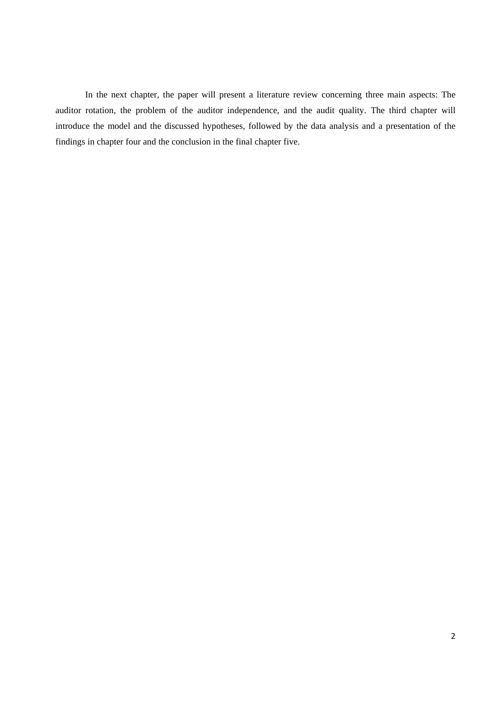In the next chapter, the paper will present a literature review concerning three main aspects: The auditor rotation, the problem of the auditor independence, and the audit quality. The third chapter will introduce the model and the discussed hypotheses, followed by the data analysis and a presentation of the findings in chapter four and the conclusion in the final chapter five.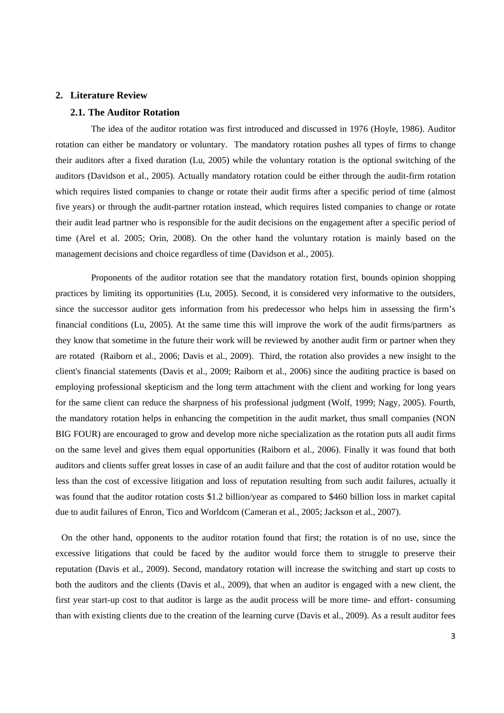#### **2. Literature Review**

## **2.1. The Auditor Rotation**

The idea of the auditor rotation was first introduced and discussed in 1976 (Hoyle, 1986). Auditor rotation can either be mandatory or voluntary. The mandatory rotation pushes all types of firms to change their auditors after a fixed duration (Lu, 2005) while the voluntary rotation is the optional switching of the auditors (Davidson et al., 2005). Actually mandatory rotation could be either through the audit-firm rotation which requires listed companies to change or rotate their audit firms after a specific period of time (almost five years) or through the audit-partner rotation instead, which requires listed companies to change or rotate their audit lead partner who is responsible for the audit decisions on the engagement after a specific period of time (Arel et al. 2005; Orin, 2008). On the other hand the voluntary rotation is mainly based on the management decisions and choice regardless of time (Davidson et al., 2005).

Proponents of the auditor rotation see that the mandatory rotation first, bounds opinion shopping practices by limiting its opportunities (Lu, 2005). Second, it is considered very informative to the outsiders, since the successor auditor gets information from his predecessor who helps him in assessing the firm's financial conditions (Lu, 2005). At the same time this will improve the work of the audit firms/partners as they know that sometime in the future their work will be reviewed by another audit firm or partner when they are rotated (Raiborn et al., 2006; Davis et al., 2009). Third, the rotation also provides a new insight to the client's financial statements (Davis et al., 2009; Raiborn et al., 2006) since the auditing practice is based on employing professional skepticism and the long term attachment with the client and working for long years for the same client can reduce the sharpness of his professional judgment (Wolf, 1999; Nagy, 2005). Fourth, the mandatory rotation helps in enhancing the competition in the audit market, thus small companies (NON BIG FOUR) are encouraged to grow and develop more niche specialization as the rotation puts all audit firms on the same level and gives them equal opportunities (Raiborn et al., 2006). Finally it was found that both auditors and clients suffer great losses in case of an audit failure and that the cost of auditor rotation would be less than the cost of excessive litigation and loss of reputation resulting from such audit failures, actually it was found that the auditor rotation costs \$1.2 billion/year as compared to \$460 billion loss in market capital due to audit failures of Enron, Tico and Worldcom (Cameran et al., 2005; Jackson et al., 2007).

On the other hand, opponents to the auditor rotation found that first; the rotation is of no use, since the excessive litigations that could be faced by the auditor would force them to struggle to preserve their reputation (Davis et al., 2009). Second, mandatory rotation will increase the switching and start up costs to both the auditors and the clients (Davis et al., 2009), that when an auditor is engaged with a new client, the first year start-up cost to that auditor is large as the audit process will be more time- and effort- consuming than with existing clients due to the creation of the learning curve (Davis et al., 2009). As a result auditor fees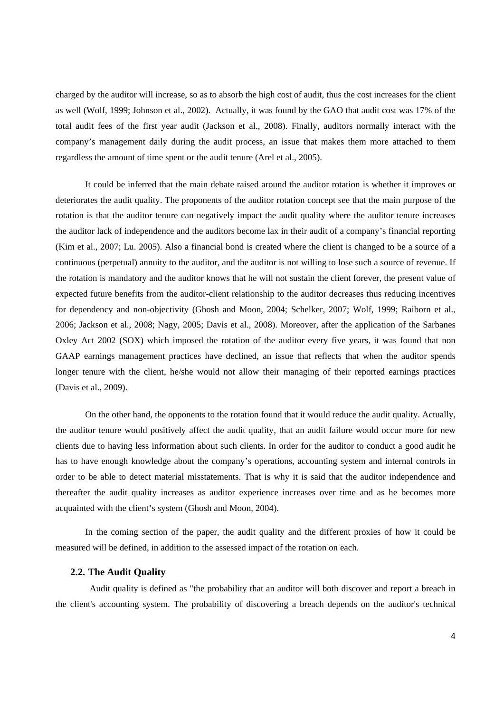charged by the auditor will increase, so as to absorb the high cost of audit, thus the cost increases for the client as well (Wolf, 1999; Johnson et al., 2002). Actually, it was found by the GAO that audit cost was 17% of the total audit fees of the first year audit (Jackson et al., 2008). Finally, auditors normally interact with the company's management daily during the audit process, an issue that makes them more attached to them regardless the amount of time spent or the audit tenure (Arel et al., 2005).

It could be inferred that the main debate raised around the auditor rotation is whether it improves or deteriorates the audit quality. The proponents of the auditor rotation concept see that the main purpose of the rotation is that the auditor tenure can negatively impact the audit quality where the auditor tenure increases the auditor lack of independence and the auditors become lax in their audit of a company's financial reporting (Kim et al., 2007; Lu. 2005). Also a financial bond is created where the client is changed to be a source of a continuous (perpetual) annuity to the auditor, and the auditor is not willing to lose such a source of revenue. If the rotation is mandatory and the auditor knows that he will not sustain the client forever, the present value of expected future benefits from the auditor-client relationship to the auditor decreases thus reducing incentives for dependency and non-objectivity (Ghosh and Moon, 2004; Schelker, 2007; Wolf, 1999; Raiborn et al., 2006; Jackson et al., 2008; Nagy, 2005; Davis et al., 2008). Moreover, after the application of the Sarbanes Oxley Act 2002 (SOX) which imposed the rotation of the auditor every five years, it was found that non GAAP earnings management practices have declined, an issue that reflects that when the auditor spends longer tenure with the client, he/she would not allow their managing of their reported earnings practices (Davis et al., 2009).

On the other hand, the opponents to the rotation found that it would reduce the audit quality. Actually, the auditor tenure would positively affect the audit quality, that an audit failure would occur more for new clients due to having less information about such clients. In order for the auditor to conduct a good audit he has to have enough knowledge about the company's operations, accounting system and internal controls in order to be able to detect material misstatements. That is why it is said that the auditor independence and thereafter the audit quality increases as auditor experience increases over time and as he becomes more acquainted with the client's system (Ghosh and Moon, 2004).

In the coming section of the paper, the audit quality and the different proxies of how it could be measured will be defined, in addition to the assessed impact of the rotation on each.

## **2.2. The Audit Quality**

 Audit quality is defined as "the probability that an auditor will both discover and report a breach in the client's accounting system. The probability of discovering a breach depends on the auditor's technical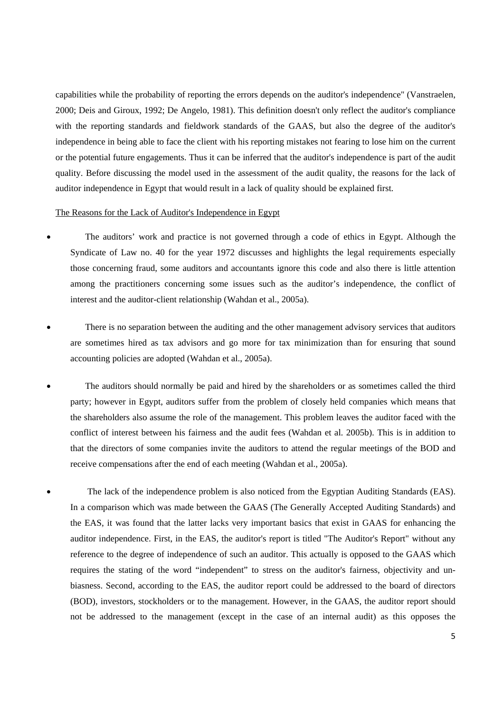capabilities while the probability of reporting the errors depends on the auditor's independence" (Vanstraelen, 2000; Deis and Giroux, 1992; De Angelo, 1981). This definition doesn't only reflect the auditor's compliance with the reporting standards and fieldwork standards of the GAAS, but also the degree of the auditor's independence in being able to face the client with his reporting mistakes not fearing to lose him on the current or the potential future engagements. Thus it can be inferred that the auditor's independence is part of the audit quality. Before discussing the model used in the assessment of the audit quality, the reasons for the lack of auditor independence in Egypt that would result in a lack of quality should be explained first.

#### The Reasons for the Lack of Auditor's Independence in Egypt

- The auditors' work and practice is not governed through a code of ethics in Egypt. Although the Syndicate of Law no. 40 for the year 1972 discusses and highlights the legal requirements especially those concerning fraud, some auditors and accountants ignore this code and also there is little attention among the practitioners concerning some issues such as the auditor's independence, the conflict of interest and the auditor-client relationship (Wahdan et al., 2005a).
- There is no separation between the auditing and the other management advisory services that auditors are sometimes hired as tax advisors and go more for tax minimization than for ensuring that sound accounting policies are adopted (Wahdan et al., 2005a).
- The auditors should normally be paid and hired by the shareholders or as sometimes called the third party; however in Egypt, auditors suffer from the problem of closely held companies which means that the shareholders also assume the role of the management. This problem leaves the auditor faced with the conflict of interest between his fairness and the audit fees (Wahdan et al. 2005b). This is in addition to that the directors of some companies invite the auditors to attend the regular meetings of the BOD and receive compensations after the end of each meeting (Wahdan et al., 2005a).
- The lack of the independence problem is also noticed from the Egyptian Auditing Standards (EAS). In a comparison which was made between the GAAS (The Generally Accepted Auditing Standards) and the EAS, it was found that the latter lacks very important basics that exist in GAAS for enhancing the auditor independence. First, in the EAS, the auditor's report is titled "The Auditor's Report" without any reference to the degree of independence of such an auditor. This actually is opposed to the GAAS which requires the stating of the word "independent" to stress on the auditor's fairness, objectivity and unbiasness. Second, according to the EAS, the auditor report could be addressed to the board of directors (BOD), investors, stockholders or to the management. However, in the GAAS, the auditor report should not be addressed to the management (except in the case of an internal audit) as this opposes the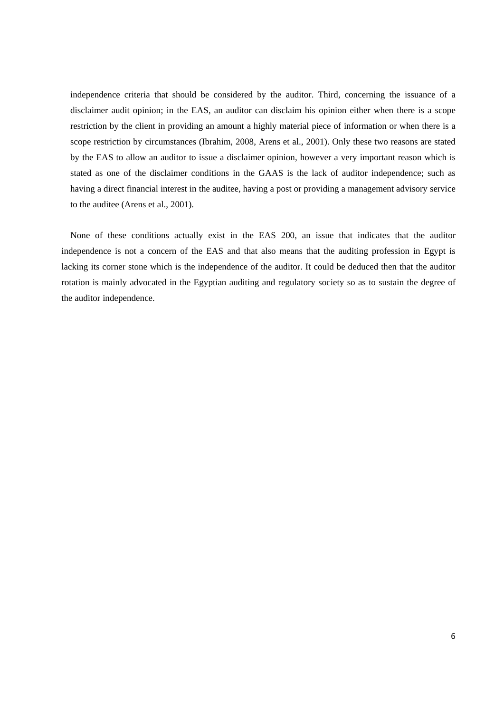independence criteria that should be considered by the auditor. Third, concerning the issuance of a disclaimer audit opinion; in the EAS, an auditor can disclaim his opinion either when there is a scope restriction by the client in providing an amount a highly material piece of information or when there is a scope restriction by circumstances (Ibrahim, 2008, Arens et al., 2001). Only these two reasons are stated by the EAS to allow an auditor to issue a disclaimer opinion, however a very important reason which is stated as one of the disclaimer conditions in the GAAS is the lack of auditor independence; such as having a direct financial interest in the auditee, having a post or providing a management advisory service to the auditee (Arens et al., 2001).

None of these conditions actually exist in the EAS 200, an issue that indicates that the auditor independence is not a concern of the EAS and that also means that the auditing profession in Egypt is lacking its corner stone which is the independence of the auditor. It could be deduced then that the auditor rotation is mainly advocated in the Egyptian auditing and regulatory society so as to sustain the degree of the auditor independence.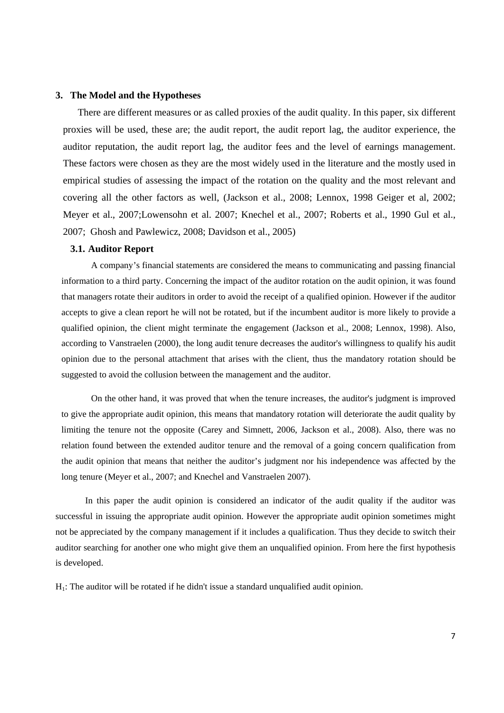#### **3. The Model and the Hypotheses**

There are different measures or as called proxies of the audit quality. In this paper, six different proxies will be used, these are; the audit report, the audit report lag, the auditor experience, the auditor reputation, the audit report lag, the auditor fees and the level of earnings management. These factors were chosen as they are the most widely used in the literature and the mostly used in empirical studies of assessing the impact of the rotation on the quality and the most relevant and covering all the other factors as well, (Jackson et al., 2008; Lennox, 1998 Geiger et al, 2002; Meyer et al., 2007;Lowensohn et al. 2007; Knechel et al., 2007; Roberts et al., 1990 Gul et al., 2007; Ghosh and Pawlewicz, 2008; Davidson et al., 2005)

#### **3.1. Auditor Report**

A company's financial statements are considered the means to communicating and passing financial information to a third party. Concerning the impact of the auditor rotation on the audit opinion, it was found that managers rotate their auditors in order to avoid the receipt of a qualified opinion. However if the auditor accepts to give a clean report he will not be rotated, but if the incumbent auditor is more likely to provide a qualified opinion, the client might terminate the engagement (Jackson et al., 2008; Lennox, 1998). Also, according to Vanstraelen (2000), the long audit tenure decreases the auditor's willingness to qualify his audit opinion due to the personal attachment that arises with the client, thus the mandatory rotation should be suggested to avoid the collusion between the management and the auditor.

On the other hand, it was proved that when the tenure increases, the auditor's judgment is improved to give the appropriate audit opinion, this means that mandatory rotation will deteriorate the audit quality by limiting the tenure not the opposite (Carey and Simnett, 2006, Jackson et al., 2008). Also, there was no relation found between the extended auditor tenure and the removal of a going concern qualification from the audit opinion that means that neither the auditor's judgment nor his independence was affected by the long tenure (Meyer et al., 2007; and Knechel and Vanstraelen 2007).

In this paper the audit opinion is considered an indicator of the audit quality if the auditor was successful in issuing the appropriate audit opinion. However the appropriate audit opinion sometimes might not be appreciated by the company management if it includes a qualification. Thus they decide to switch their auditor searching for another one who might give them an unqualified opinion. From here the first hypothesis is developed.

 $H_1$ : The auditor will be rotated if he didn't issue a standard unqualified audit opinion.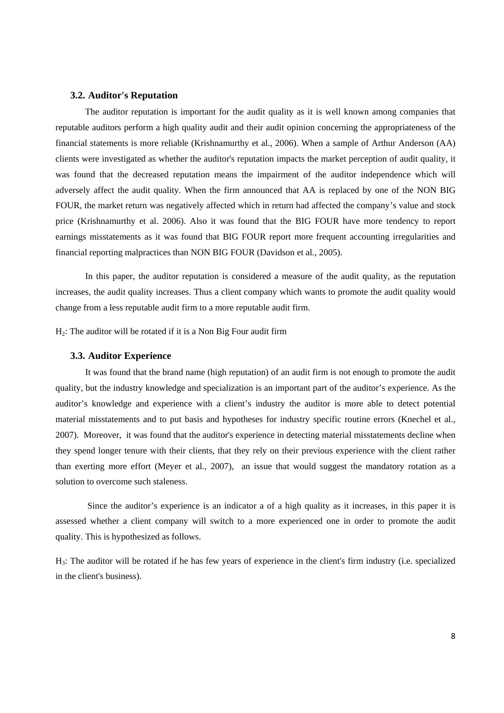#### **3.2. Auditor's Reputation**

The auditor reputation is important for the audit quality as it is well known among companies that reputable auditors perform a high quality audit and their audit opinion concerning the appropriateness of the financial statements is more reliable (Krishnamurthy et al., 2006). When a sample of Arthur Anderson (AA) clients were investigated as whether the auditor's reputation impacts the market perception of audit quality, it was found that the decreased reputation means the impairment of the auditor independence which will adversely affect the audit quality. When the firm announced that AA is replaced by one of the NON BIG FOUR, the market return was negatively affected which in return had affected the company's value and stock price (Krishnamurthy et al. 2006). Also it was found that the BIG FOUR have more tendency to report earnings misstatements as it was found that BIG FOUR report more frequent accounting irregularities and financial reporting malpractices than NON BIG FOUR (Davidson et al., 2005).

In this paper, the auditor reputation is considered a measure of the audit quality, as the reputation increases, the audit quality increases. Thus a client company which wants to promote the audit quality would change from a less reputable audit firm to a more reputable audit firm.

H2: The auditor will be rotated if it is a Non Big Four audit firm

#### **3.3. Auditor Experience**

It was found that the brand name (high reputation) of an audit firm is not enough to promote the audit quality, but the industry knowledge and specialization is an important part of the auditor's experience. As the auditor's knowledge and experience with a client's industry the auditor is more able to detect potential material misstatements and to put basis and hypotheses for industry specific routine errors (Knechel et al., 2007). Moreover, it was found that the auditor's experience in detecting material misstatements decline when they spend longer tenure with their clients, that they rely on their previous experience with the client rather than exerting more effort (Meyer et al., 2007), an issue that would suggest the mandatory rotation as a solution to overcome such staleness.

 Since the auditor's experience is an indicator a of a high quality as it increases, in this paper it is assessed whether a client company will switch to a more experienced one in order to promote the audit quality. This is hypothesized as follows.

H3: The auditor will be rotated if he has few years of experience in the client's firm industry (i.e. specialized in the client's business).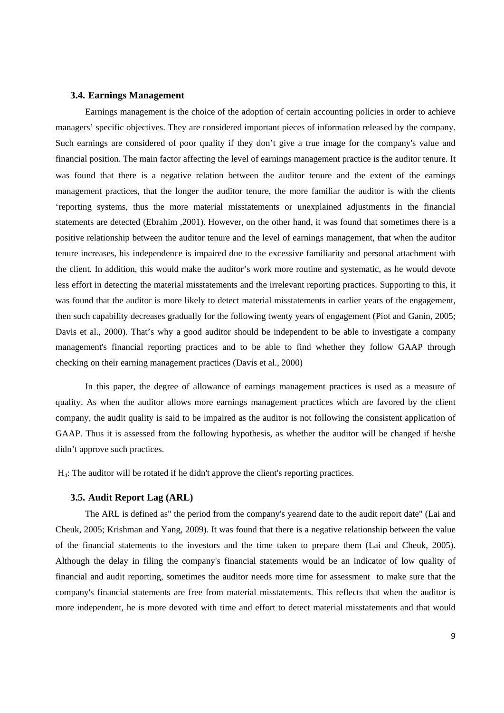#### **3.4. Earnings Management**

Earnings management is the choice of the adoption of certain accounting policies in order to achieve managers' specific objectives. They are considered important pieces of information released by the company. Such earnings are considered of poor quality if they don't give a true image for the company's value and financial position. The main factor affecting the level of earnings management practice is the auditor tenure. It was found that there is a negative relation between the auditor tenure and the extent of the earnings management practices, that the longer the auditor tenure, the more familiar the auditor is with the clients 'reporting systems, thus the more material misstatements or unexplained adjustments in the financial statements are detected (Ebrahim ,2001). However, on the other hand, it was found that sometimes there is a positive relationship between the auditor tenure and the level of earnings management, that when the auditor tenure increases, his independence is impaired due to the excessive familiarity and personal attachment with the client. In addition, this would make the auditor's work more routine and systematic, as he would devote less effort in detecting the material misstatements and the irrelevant reporting practices. Supporting to this, it was found that the auditor is more likely to detect material misstatements in earlier years of the engagement, then such capability decreases gradually for the following twenty years of engagement (Piot and Ganin, 2005; Davis et al., 2000). That's why a good auditor should be independent to be able to investigate a company management's financial reporting practices and to be able to find whether they follow GAAP through checking on their earning management practices (Davis et al., 2000)

In this paper, the degree of allowance of earnings management practices is used as a measure of quality. As when the auditor allows more earnings management practices which are favored by the client company, the audit quality is said to be impaired as the auditor is not following the consistent application of GAAP. Thus it is assessed from the following hypothesis, as whether the auditor will be changed if he/she didn't approve such practices.

H4: The auditor will be rotated if he didn't approve the client's reporting practices.

### **3.5. Audit Report Lag (ARL)**

The ARL is defined as" the period from the company's yearend date to the audit report date" (Lai and Cheuk, 2005; Krishman and Yang, 2009). It was found that there is a negative relationship between the value of the financial statements to the investors and the time taken to prepare them (Lai and Cheuk, 2005). Although the delay in filing the company's financial statements would be an indicator of low quality of financial and audit reporting, sometimes the auditor needs more time for assessment to make sure that the company's financial statements are free from material misstatements. This reflects that when the auditor is more independent, he is more devoted with time and effort to detect material misstatements and that would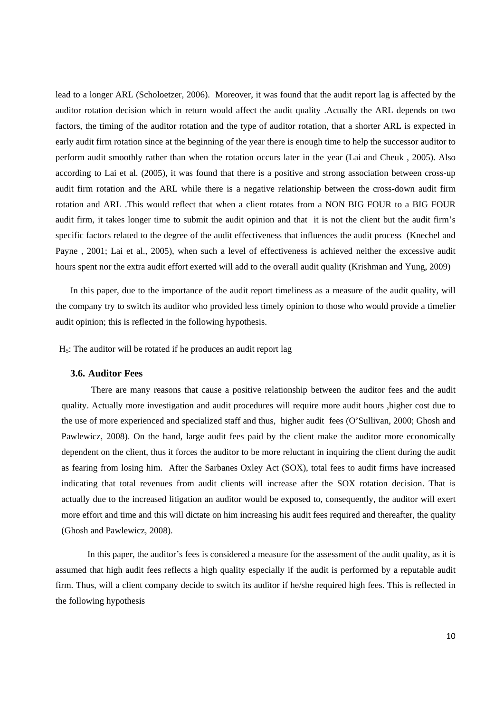lead to a longer ARL (Scholoetzer, 2006). Moreover, it was found that the audit report lag is affected by the auditor rotation decision which in return would affect the audit quality .Actually the ARL depends on two factors, the timing of the auditor rotation and the type of auditor rotation, that a shorter ARL is expected in early audit firm rotation since at the beginning of the year there is enough time to help the successor auditor to perform audit smoothly rather than when the rotation occurs later in the year (Lai and Cheuk , 2005). Also according to Lai et al. (2005), it was found that there is a positive and strong association between cross-up audit firm rotation and the ARL while there is a negative relationship between the cross-down audit firm rotation and ARL .This would reflect that when a client rotates from a NON BIG FOUR to a BIG FOUR audit firm, it takes longer time to submit the audit opinion and that it is not the client but the audit firm's specific factors related to the degree of the audit effectiveness that influences the audit process (Knechel and Payne , 2001; Lai et al., 2005), when such a level of effectiveness is achieved neither the excessive audit hours spent nor the extra audit effort exerted will add to the overall audit quality (Krishman and Yung, 2009)

In this paper, due to the importance of the audit report timeliness as a measure of the audit quality, will the company try to switch its auditor who provided less timely opinion to those who would provide a timelier audit opinion; this is reflected in the following hypothesis.

 $H<sub>5</sub>$ : The auditor will be rotated if he produces an audit report lag

#### **3.6. Auditor Fees**

There are many reasons that cause a positive relationship between the auditor fees and the audit quality. Actually more investigation and audit procedures will require more audit hours ,higher cost due to the use of more experienced and specialized staff and thus, higher audit fees (O'Sullivan, 2000; Ghosh and Pawlewicz, 2008). On the hand, large audit fees paid by the client make the auditor more economically dependent on the client, thus it forces the auditor to be more reluctant in inquiring the client during the audit as fearing from losing him. After the Sarbanes Oxley Act (SOX), total fees to audit firms have increased indicating that total revenues from audit clients will increase after the SOX rotation decision. That is actually due to the increased litigation an auditor would be exposed to, consequently, the auditor will exert more effort and time and this will dictate on him increasing his audit fees required and thereafter, the quality (Ghosh and Pawlewicz, 2008).

 In this paper, the auditor's fees is considered a measure for the assessment of the audit quality, as it is assumed that high audit fees reflects a high quality especially if the audit is performed by a reputable audit firm. Thus, will a client company decide to switch its auditor if he/she required high fees. This is reflected in the following hypothesis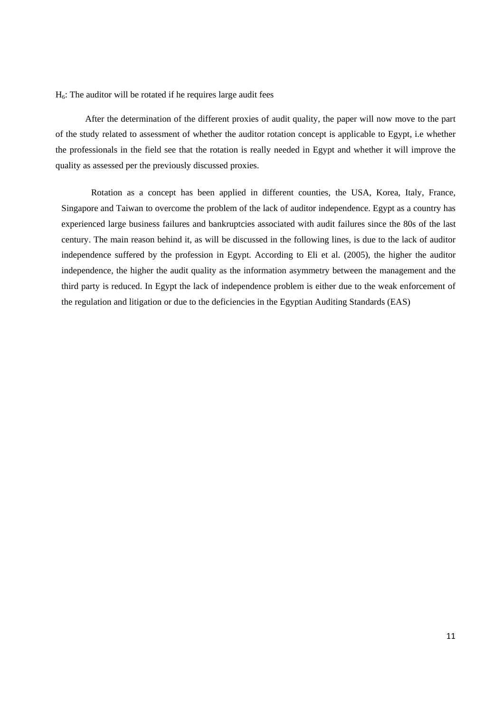$H<sub>6</sub>$ : The auditor will be rotated if he requires large audit fees

After the determination of the different proxies of audit quality, the paper will now move to the part of the study related to assessment of whether the auditor rotation concept is applicable to Egypt, i.e whether the professionals in the field see that the rotation is really needed in Egypt and whether it will improve the quality as assessed per the previously discussed proxies.

Rotation as a concept has been applied in different counties, the USA, Korea, Italy, France, Singapore and Taiwan to overcome the problem of the lack of auditor independence. Egypt as a country has experienced large business failures and bankruptcies associated with audit failures since the 80s of the last century. The main reason behind it, as will be discussed in the following lines, is due to the lack of auditor independence suffered by the profession in Egypt. According to Eli et al. (2005), the higher the auditor independence, the higher the audit quality as the information asymmetry between the management and the third party is reduced. In Egypt the lack of independence problem is either due to the weak enforcement of the regulation and litigation or due to the deficiencies in the Egyptian Auditing Standards (EAS)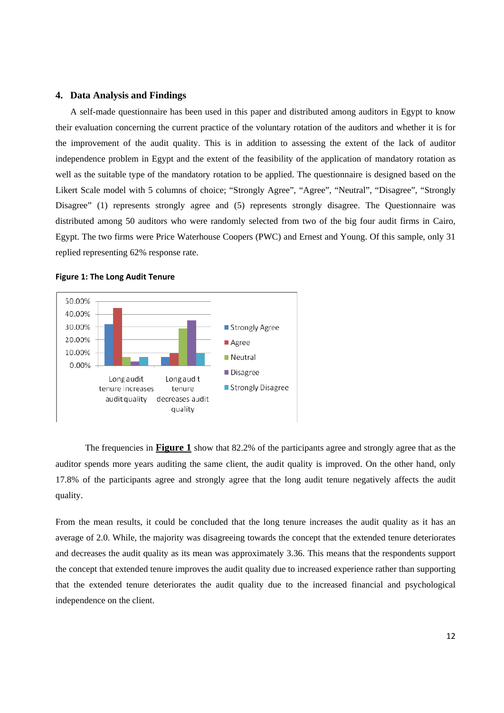#### **4. Data Analysis and Findings**

A self-made questionnaire has been used in this paper and distributed among auditors in Egypt to know their evaluation concerning the current practice of the voluntary rotation of the auditors and whether it is for the improvement of the audit quality. This is in addition to assessing the extent of the lack of auditor independence problem in Egypt and the extent of the feasibility of the application of mandatory rotation as well as the suitable type of the mandatory rotation to be applied. The questionnaire is designed based on the Likert Scale model with 5 columns of choice; "Strongly Agree", "Agree", "Neutral", "Disagree", "Strongly Disagree" (1) represents strongly agree and (5) represents strongly disagree. The Questionnaire was distributed among 50 auditors who were randomly selected from two of the big four audit firms in Cairo, Egypt. The two firms were Price Waterhouse Coopers (PWC) and Ernest and Young. Of this sample, only 31 replied representing 62% response rate.



#### **Figure 1: The Long Audit Tenure**

The frequencies in **Figure 1** show that 82.2% of the participants agree and strongly agree that as the auditor spends more years auditing the same client, the audit quality is improved. On the other hand, only 17.8% of the participants agree and strongly agree that the long audit tenure negatively affects the audit quality.

From the mean results, it could be concluded that the long tenure increases the audit quality as it has an average of 2.0. While, the majority was disagreeing towards the concept that the extended tenure deteriorates and decreases the audit quality as its mean was approximately 3.36. This means that the respondents support the concept that extended tenure improves the audit quality due to increased experience rather than supporting that the extended tenure deteriorates the audit quality due to the increased financial and psychological independence on the client.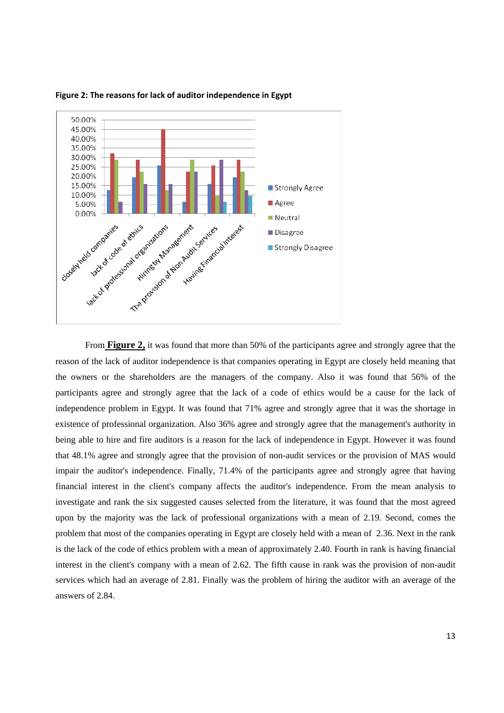

**Figure 2: The reasons for lack of auditor independence in Egypt**

From **Figure 2,** it was found that more than 50% of the participants agree and strongly agree that the reason of the lack of auditor independence is that companies operating in Egypt are closely held meaning that the owners or the shareholders are the managers of the company. Also it was found that 56% of the participants agree and strongly agree that the lack of a code of ethics would be a cause for the lack of independence problem in Egypt. It was found that 71% agree and strongly agree that it was the shortage in existence of professional organization. Also 36% agree and strongly agree that the management's authority in being able to hire and fire auditors is a reason for the lack of independence in Egypt. However it was found that 48.1% agree and strongly agree that the provision of non-audit services or the provision of MAS would impair the auditor's independence. Finally, 71.4% of the participants agree and strongly agree that having financial interest in the client's company affects the auditor's independence. From the mean analysis to investigate and rank the six suggested causes selected from the literature, it was found that the most agreed upon by the majority was the lack of professional organizations with a mean of 2.19. Second, comes the problem that most of the companies operating in Egypt are closely held with a mean of 2.36. Next in the rank is the lack of the code of ethics problem with a mean of approximately 2.40. Fourth in rank is having financial interest in the client's company with a mean of 2.62. The fifth cause in rank was the provision of non-audit services which had an average of 2.81. Finally was the problem of hiring the auditor with an average of the answers of 2.84.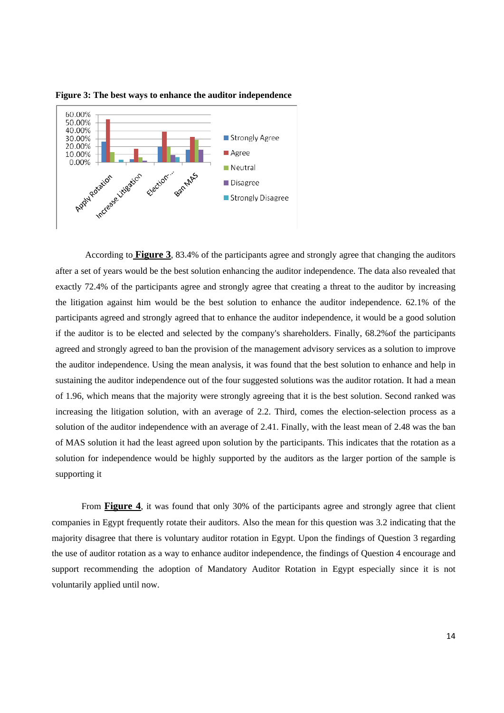

**Figure 3: The best ways to enhance the auditor independence** 

According to **Figure 3**, 83.4% of the participants agree and strongly agree that changing the auditors after a set of years would be the best solution enhancing the auditor independence. The data also revealed that exactly 72.4% of the participants agree and strongly agree that creating a threat to the auditor by increasing the litigation against him would be the best solution to enhance the auditor independence. 62.1% of the participants agreed and strongly agreed that to enhance the auditor independence, it would be a good solution if the auditor is to be elected and selected by the company's shareholders. Finally, 68.2%of the participants agreed and strongly agreed to ban the provision of the management advisory services as a solution to improve the auditor independence. Using the mean analysis, it was found that the best solution to enhance and help in sustaining the auditor independence out of the four suggested solutions was the auditor rotation. It had a mean of 1.96, which means that the majority were strongly agreeing that it is the best solution. Second ranked was increasing the litigation solution, with an average of 2.2. Third, comes the election-selection process as a solution of the auditor independence with an average of 2.41. Finally, with the least mean of 2.48 was the ban of MAS solution it had the least agreed upon solution by the participants. This indicates that the rotation as a solution for independence would be highly supported by the auditors as the larger portion of the sample is supporting it

From **Figure 4**, it was found that only 30% of the participants agree and strongly agree that client companies in Egypt frequently rotate their auditors. Also the mean for this question was 3.2 indicating that the majority disagree that there is voluntary auditor rotation in Egypt. Upon the findings of Question 3 regarding the use of auditor rotation as a way to enhance auditor independence, the findings of Question 4 encourage and support recommending the adoption of Mandatory Auditor Rotation in Egypt especially since it is not voluntarily applied until now.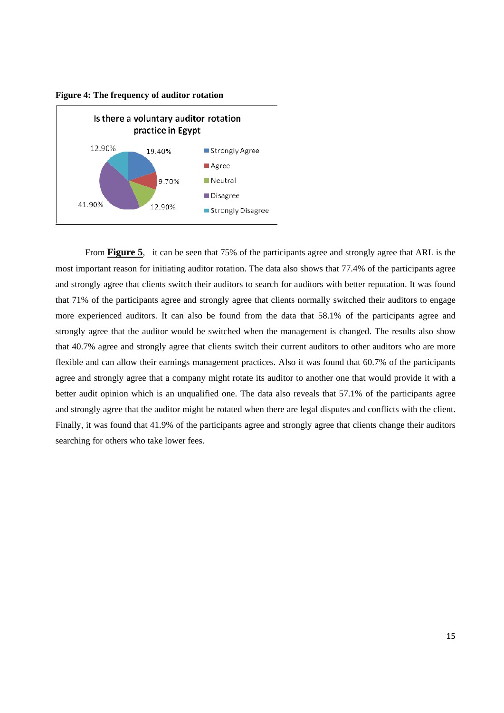

**Figure 4: The frequency of auditor rotation** 

From **Figure 5**, it can be seen that 75% of the participants agree and strongly agree that ARL is the most important reason for initiating auditor rotation. The data also shows that 77.4% of the participants agree and strongly agree that clients switch their auditors to search for auditors with better reputation. It was found that 71% of the participants agree and strongly agree that clients normally switched their auditors to engage more experienced auditors. It can also be found from the data that 58.1% of the participants agree and strongly agree that the auditor would be switched when the management is changed. The results also show that 40.7% agree and strongly agree that clients switch their current auditors to other auditors who are more flexible and can allow their earnings management practices. Also it was found that 60.7% of the participants agree and strongly agree that a company might rotate its auditor to another one that would provide it with a better audit opinion which is an unqualified one. The data also reveals that 57.1% of the participants agree and strongly agree that the auditor might be rotated when there are legal disputes and conflicts with the client. Finally, it was found that 41.9% of the participants agree and strongly agree that clients change their auditors searching for others who take lower fees.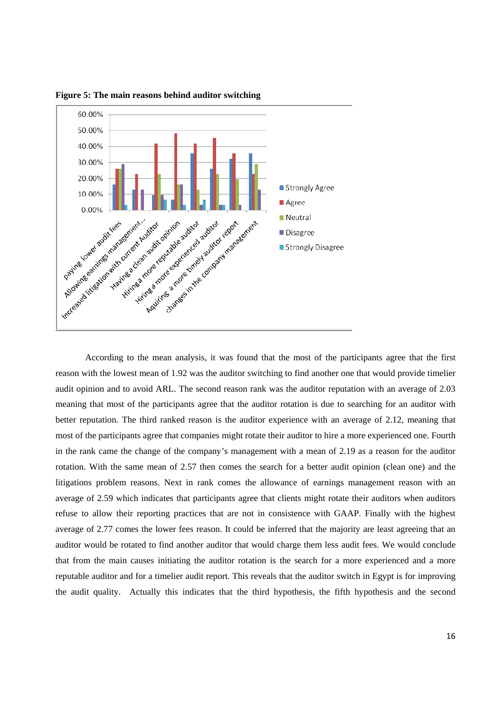

**Figure 5: The main reasons behind auditor switching** 

According to the mean analysis, it was found that the most of the participants agree that the first reason with the lowest mean of 1.92 was the auditor switching to find another one that would provide timelier audit opinion and to avoid ARL. The second reason rank was the auditor reputation with an average of 2.03 meaning that most of the participants agree that the auditor rotation is due to searching for an auditor with better reputation. The third ranked reason is the auditor experience with an average of 2.12, meaning that most of the participants agree that companies might rotate their auditor to hire a more experienced one. Fourth in the rank came the change of the company's management with a mean of 2.19 as a reason for the auditor rotation. With the same mean of 2.57 then comes the search for a better audit opinion (clean one) and the litigations problem reasons. Next in rank comes the allowance of earnings management reason with an average of 2.59 which indicates that participants agree that clients might rotate their auditors when auditors refuse to allow their reporting practices that are not in consistence with GAAP. Finally with the highest average of 2.77 comes the lower fees reason. It could be inferred that the majority are least agreeing that an auditor would be rotated to find another auditor that would charge them less audit fees. We would conclude that from the main causes initiating the auditor rotation is the search for a more experienced and a more reputable auditor and for a timelier audit report. This reveals that the auditor switch in Egypt is for improving the audit quality. Actually this indicates that the third hypothesis, the fifth hypothesis and the second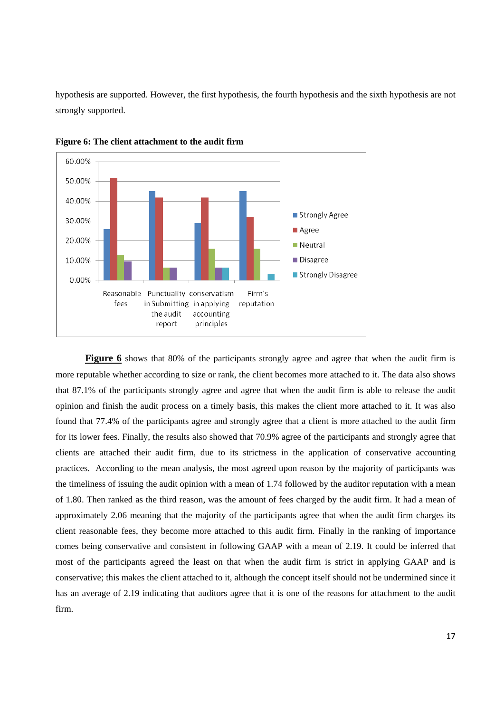hypothesis are supported. However, the first hypothesis, the fourth hypothesis and the sixth hypothesis are not strongly supported.



**Figure 6: The client attachment to the audit firm** 

**Figure 6** shows that 80% of the participants strongly agree and agree that when the audit firm is more reputable whether according to size or rank, the client becomes more attached to it. The data also shows that 87.1% of the participants strongly agree and agree that when the audit firm is able to release the audit opinion and finish the audit process on a timely basis, this makes the client more attached to it. It was also found that 77.4% of the participants agree and strongly agree that a client is more attached to the audit firm for its lower fees. Finally, the results also showed that 70.9% agree of the participants and strongly agree that clients are attached their audit firm, due to its strictness in the application of conservative accounting practices. According to the mean analysis, the most agreed upon reason by the majority of participants was the timeliness of issuing the audit opinion with a mean of 1.74 followed by the auditor reputation with a mean of 1.80. Then ranked as the third reason, was the amount of fees charged by the audit firm. It had a mean of approximately 2.06 meaning that the majority of the participants agree that when the audit firm charges its client reasonable fees, they become more attached to this audit firm. Finally in the ranking of importance comes being conservative and consistent in following GAAP with a mean of 2.19. It could be inferred that most of the participants agreed the least on that when the audit firm is strict in applying GAAP and is conservative; this makes the client attached to it, although the concept itself should not be undermined since it has an average of 2.19 indicating that auditors agree that it is one of the reasons for attachment to the audit firm.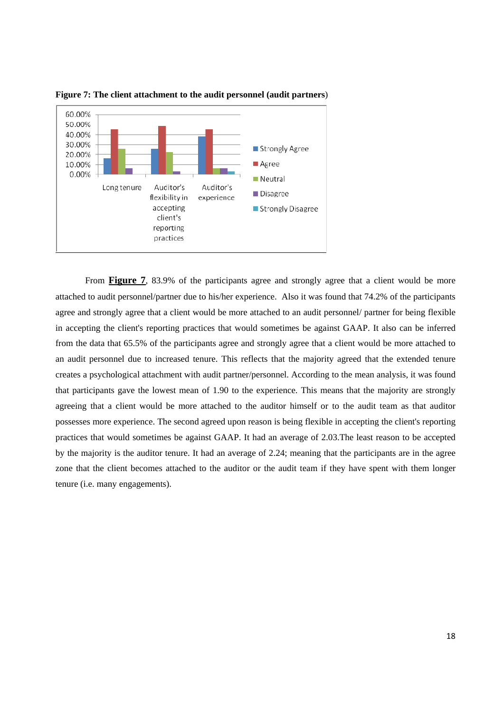

**Figure 7: The client attachment to the audit personnel (audit partners**)

From **Figure 7**, 83.9% of the participants agree and strongly agree that a client would be more attached to audit personnel/partner due to his/her experience. Also it was found that 74.2% of the participants agree and strongly agree that a client would be more attached to an audit personnel/ partner for being flexible in accepting the client's reporting practices that would sometimes be against GAAP. It also can be inferred from the data that 65.5% of the participants agree and strongly agree that a client would be more attached to an audit personnel due to increased tenure. This reflects that the majority agreed that the extended tenure creates a psychological attachment with audit partner/personnel. According to the mean analysis, it was found that participants gave the lowest mean of 1.90 to the experience. This means that the majority are strongly agreeing that a client would be more attached to the auditor himself or to the audit team as that auditor possesses more experience. The second agreed upon reason is being flexible in accepting the client's reporting practices that would sometimes be against GAAP. It had an average of 2.03.The least reason to be accepted by the majority is the auditor tenure. It had an average of 2.24; meaning that the participants are in the agree zone that the client becomes attached to the auditor or the audit team if they have spent with them longer tenure (i.e. many engagements).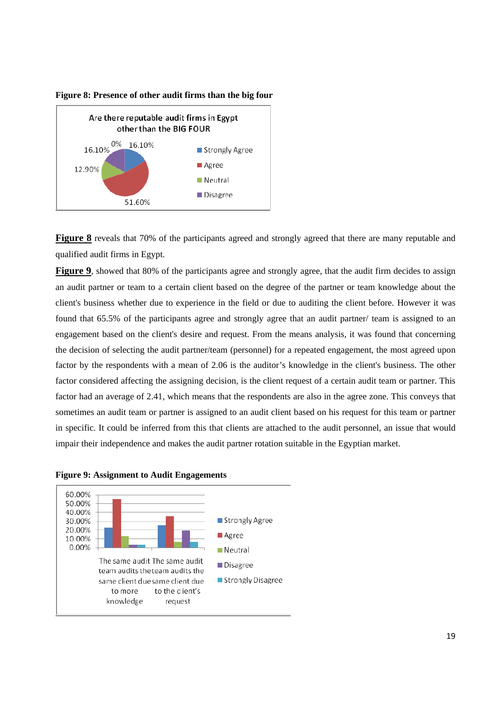

**Figure 8: Presence of other audit firms than the big four** 

**Figure 8** reveals that 70% of the participants agreed and strongly agreed that there are many reputable and qualified audit firms in Egypt.

**Figure 9**, showed that 80% of the participants agree and strongly agree, that the audit firm decides to assign an audit partner or team to a certain client based on the degree of the partner or team knowledge about the client's business whether due to experience in the field or due to auditing the client before. However it was found that 65.5% of the participants agree and strongly agree that an audit partner/ team is assigned to an engagement based on the client's desire and request. From the means analysis, it was found that concerning the decision of selecting the audit partner/team (personnel) for a repeated engagement, the most agreed upon factor by the respondents with a mean of 2.06 is the auditor's knowledge in the client's business. The other factor considered affecting the assigning decision, is the client request of a certain audit team or partner. This factor had an average of 2.41, which means that the respondents are also in the agree zone. This conveys that sometimes an audit team or partner is assigned to an audit client based on his request for this team or partner in specific. It could be inferred from this that clients are attached to the audit personnel, an issue that would impair their independence and makes the audit partner rotation suitable in the Egyptian market.



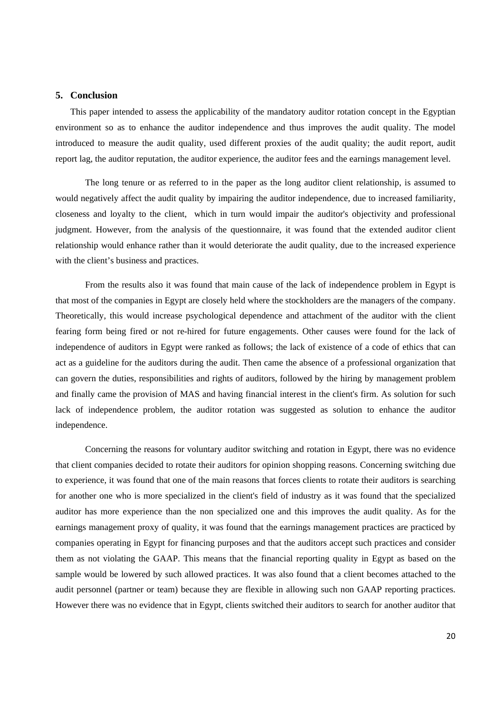# **5. Conclusion**

This paper intended to assess the applicability of the mandatory auditor rotation concept in the Egyptian environment so as to enhance the auditor independence and thus improves the audit quality. The model introduced to measure the audit quality, used different proxies of the audit quality; the audit report, audit report lag, the auditor reputation, the auditor experience, the auditor fees and the earnings management level.

The long tenure or as referred to in the paper as the long auditor client relationship, is assumed to would negatively affect the audit quality by impairing the auditor independence, due to increased familiarity, closeness and loyalty to the client, which in turn would impair the auditor's objectivity and professional judgment. However, from the analysis of the questionnaire, it was found that the extended auditor client relationship would enhance rather than it would deteriorate the audit quality, due to the increased experience with the client's business and practices.

From the results also it was found that main cause of the lack of independence problem in Egypt is that most of the companies in Egypt are closely held where the stockholders are the managers of the company. Theoretically, this would increase psychological dependence and attachment of the auditor with the client fearing form being fired or not re-hired for future engagements. Other causes were found for the lack of independence of auditors in Egypt were ranked as follows; the lack of existence of a code of ethics that can act as a guideline for the auditors during the audit. Then came the absence of a professional organization that can govern the duties, responsibilities and rights of auditors, followed by the hiring by management problem and finally came the provision of MAS and having financial interest in the client's firm. As solution for such lack of independence problem, the auditor rotation was suggested as solution to enhance the auditor independence.

Concerning the reasons for voluntary auditor switching and rotation in Egypt, there was no evidence that client companies decided to rotate their auditors for opinion shopping reasons. Concerning switching due to experience, it was found that one of the main reasons that forces clients to rotate their auditors is searching for another one who is more specialized in the client's field of industry as it was found that the specialized auditor has more experience than the non specialized one and this improves the audit quality. As for the earnings management proxy of quality, it was found that the earnings management practices are practiced by companies operating in Egypt for financing purposes and that the auditors accept such practices and consider them as not violating the GAAP. This means that the financial reporting quality in Egypt as based on the sample would be lowered by such allowed practices. It was also found that a client becomes attached to the audit personnel (partner or team) because they are flexible in allowing such non GAAP reporting practices. However there was no evidence that in Egypt, clients switched their auditors to search for another auditor that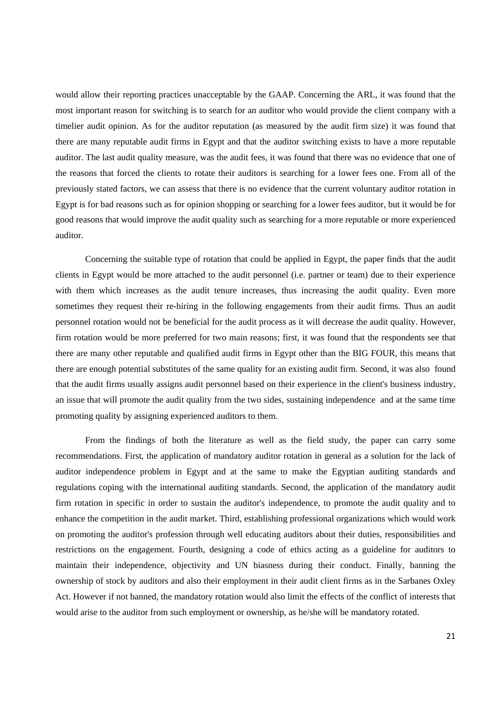would allow their reporting practices unacceptable by the GAAP. Concerning the ARL, it was found that the most important reason for switching is to search for an auditor who would provide the client company with a timelier audit opinion. As for the auditor reputation (as measured by the audit firm size) it was found that there are many reputable audit firms in Egypt and that the auditor switching exists to have a more reputable auditor. The last audit quality measure, was the audit fees, it was found that there was no evidence that one of the reasons that forced the clients to rotate their auditors is searching for a lower fees one. From all of the previously stated factors, we can assess that there is no evidence that the current voluntary auditor rotation in Egypt is for bad reasons such as for opinion shopping or searching for a lower fees auditor, but it would be for good reasons that would improve the audit quality such as searching for a more reputable or more experienced auditor.

Concerning the suitable type of rotation that could be applied in Egypt, the paper finds that the audit clients in Egypt would be more attached to the audit personnel (i.e. partner or team) due to their experience with them which increases as the audit tenure increases, thus increasing the audit quality. Even more sometimes they request their re-hiring in the following engagements from their audit firms. Thus an audit personnel rotation would not be beneficial for the audit process as it will decrease the audit quality. However, firm rotation would be more preferred for two main reasons; first, it was found that the respondents see that there are many other reputable and qualified audit firms in Egypt other than the BIG FOUR, this means that there are enough potential substitutes of the same quality for an existing audit firm. Second, it was also found that the audit firms usually assigns audit personnel based on their experience in the client's business industry, an issue that will promote the audit quality from the two sides, sustaining independence and at the same time promoting quality by assigning experienced auditors to them.

From the findings of both the literature as well as the field study, the paper can carry some recommendations. First, the application of mandatory auditor rotation in general as a solution for the lack of auditor independence problem in Egypt and at the same to make the Egyptian auditing standards and regulations coping with the international auditing standards. Second, the application of the mandatory audit firm rotation in specific in order to sustain the auditor's independence, to promote the audit quality and to enhance the competition in the audit market. Third, establishing professional organizations which would work on promoting the auditor's profession through well educating auditors about their duties, responsibilities and restrictions on the engagement. Fourth, designing a code of ethics acting as a guideline for auditors to maintain their independence, objectivity and UN biasness during their conduct. Finally, banning the ownership of stock by auditors and also their employment in their audit client firms as in the Sarbanes Oxley Act. However if not banned, the mandatory rotation would also limit the effects of the conflict of interests that would arise to the auditor from such employment or ownership, as he/she will be mandatory rotated.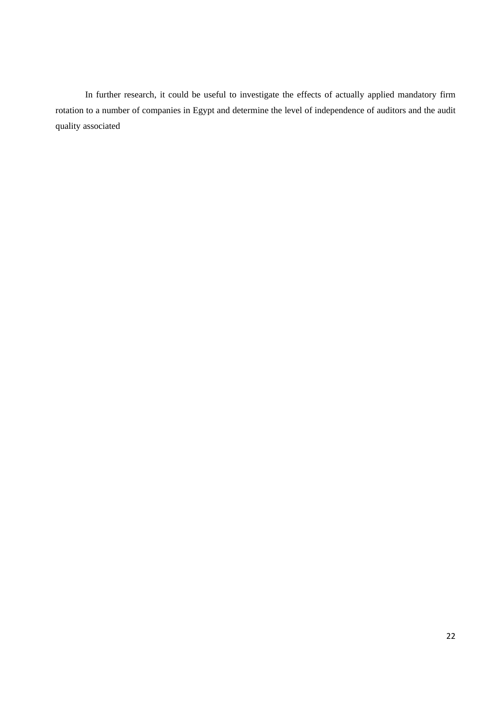In further research, it could be useful to investigate the effects of actually applied mandatory firm rotation to a number of companies in Egypt and determine the level of independence of auditors and the audit quality associated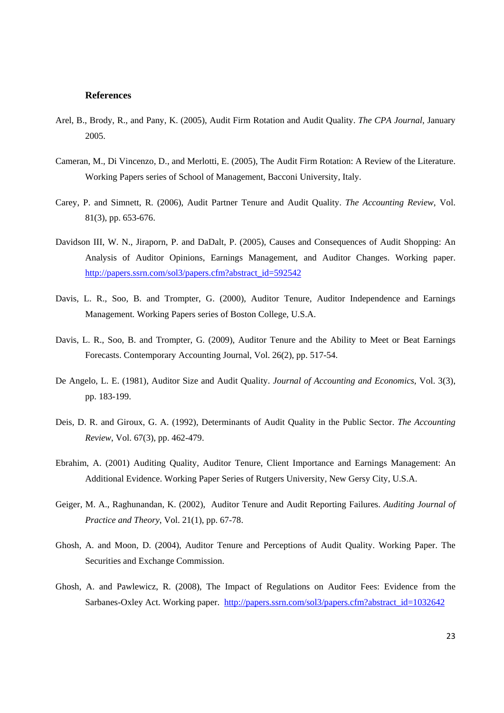#### **References**

- Arel, B., Brody, R., and Pany, K. (2005), Audit Firm Rotation and Audit Quality. *The CPA Journal*, January 2005.
- Cameran, M., Di Vincenzo, D., and Merlotti, E. (2005), The Audit Firm Rotation: A Review of the Literature. Working Papers series of School of Management, Bacconi University, Italy.
- Carey, P. and Simnett, R. (2006), Audit Partner Tenure and Audit Quality. *The Accounting Review*, Vol. 81(3), pp. 653-676.
- Davidson III, W. N., Jiraporn, P. and DaDalt, P. (2005), Causes and Consequences of Audit Shopping: An Analysis of Auditor Opinions, Earnings Management, and Auditor Changes. Working paper. http://papers.ssrn.com/sol3/papers.cfm?abstract\_id=592542
- Davis, L. R., Soo, B. and Trompter, G. (2000), Auditor Tenure, Auditor Independence and Earnings Management. Working Papers series of Boston College, U.S.A.
- Davis, L. R., Soo, B. and Trompter, G. (2009), Auditor Tenure and the Ability to Meet or Beat Earnings Forecasts. Contemporary Accounting Journal, Vol. 26(2), pp. 517-54.
- De Angelo, L. E. (1981), Auditor Size and Audit Quality. *Journal of Accounting and Economics*, Vol. 3(3), pp. 183-199.
- Deis, D. R. and Giroux, G. A. (1992), Determinants of Audit Quality in the Public Sector. *The Accounting Review*, Vol. 67(3), pp. 462-479.
- Ebrahim, A. (2001) Auditing Quality, Auditor Tenure, Client Importance and Earnings Management: An Additional Evidence. Working Paper Series of Rutgers University, New Gersy City, U.S.A.
- Geiger, M. A., Raghunandan, K. (2002), Auditor Tenure and Audit Reporting Failures. *Auditing Journal of Practice and Theory*, Vol. 21(1), pp. 67-78.
- Ghosh, A. and Moon, D. (2004), Auditor Tenure and Perceptions of Audit Quality. Working Paper. The Securities and Exchange Commission.
- Ghosh, A. and Pawlewicz, R. (2008), The Impact of Regulations on Auditor Fees: Evidence from the Sarbanes-Oxley Act. Working paper. http://papers.ssrn.com/sol3/papers.cfm?abstract\_id=1032642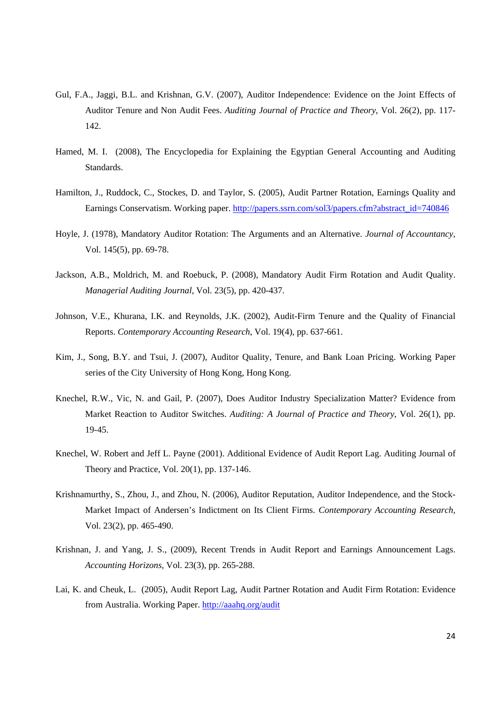- Gul, F.A., Jaggi, B.L. and Krishnan, G.V. (2007), Auditor Independence: Evidence on the Joint Effects of Auditor Tenure and Non Audit Fees. *Auditing Journal of Practice and Theory*, Vol. 26(2), pp. 117- 142.
- Hamed, M. I. (2008), The Encyclopedia for Explaining the Egyptian General Accounting and Auditing Standards.
- Hamilton, J., Ruddock, C., Stockes, D. and Taylor, S. (2005), Audit Partner Rotation, Earnings Quality and Earnings Conservatism. Working paper. http://papers.ssrn.com/sol3/papers.cfm?abstract\_id=740846
- Hoyle, J. (1978), Mandatory Auditor Rotation: The Arguments and an Alternative. *Journal of Accountancy*, Vol. 145(5), pp. 69-78.
- Jackson, A.B., Moldrich, M. and Roebuck, P. (2008), Mandatory Audit Firm Rotation and Audit Quality. *Managerial Auditing Journal,* Vol. 23(5), pp. 420-437.
- Johnson, V.E., Khurana, I.K. and Reynolds, J.K. (2002), Audit-Firm Tenure and the Quality of Financial Reports. *Contemporary Accounting Research*, Vol. 19(4), pp. 637-661.
- Kim, J., Song, B.Y. and Tsui, J. (2007), Auditor Quality, Tenure, and Bank Loan Pricing. Working Paper series of the City University of Hong Kong, Hong Kong.
- Knechel, R.W., Vic, N. and Gail, P. (2007), Does Auditor Industry Specialization Matter? Evidence from Market Reaction to Auditor Switches. *Auditing: A Journal of Practice and Theory*, Vol. 26(1), pp. 19-45.
- Knechel, W. Robert and Jeff L. Payne (2001). Additional Evidence of Audit Report Lag. Auditing Journal of Theory and Practice, Vol. 20(1), pp. 137-146.
- Krishnamurthy, S., Zhou, J., and Zhou, N. (2006), Auditor Reputation, Auditor Independence, and the Stock-Market Impact of Andersen's Indictment on Its Client Firms. *Contemporary Accounting Research,* Vol. 23(2), pp. 465-490.
- Krishnan, J. and Yang, J. S., (2009), Recent Trends in Audit Report and Earnings Announcement Lags. *Accounting Horizons*, Vol. 23(3), pp. 265-288.
- Lai, K. and Cheuk, L. (2005), Audit Report Lag, Audit Partner Rotation and Audit Firm Rotation: Evidence from Australia. Working Paper. http://aaahq.org/audit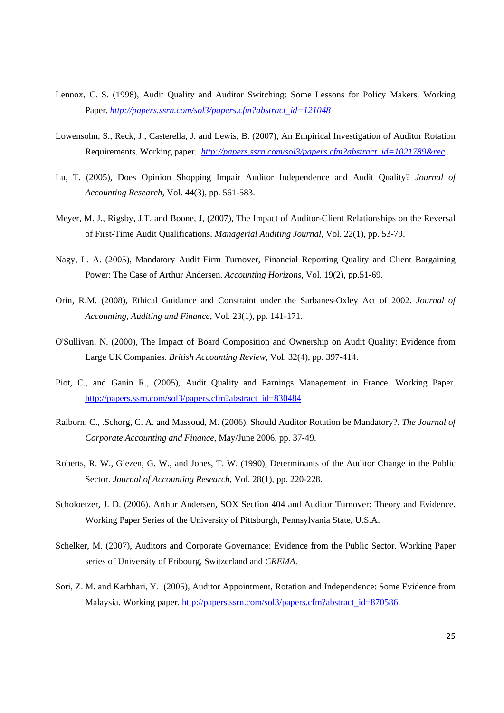- Lennox, C. S. (1998), Audit Quality and Auditor Switching: Some Lessons for Policy Makers. Working Paper*. http://papers.ssrn.com/sol3/papers.cfm?abstract\_id=121048*
- Lowensohn, S., Reck, J., Casterella, J. and Lewis, B. (2007), An Empirical Investigation of Auditor Rotation Requirements. Working paper*. http://papers.ssrn.com/sol3/papers.cfm?abstract\_id=1021789&rec...*
- Lu, T. (2005), Does Opinion Shopping Impair Auditor Independence and Audit Quality? *Journal of Accounting Research*, Vol. 44(3), pp. 561-583.
- Meyer, M. J., Rigsby, J.T. and Boone, J, (2007), The Impact of Auditor-Client Relationships on the Reversal of First-Time Audit Qualifications. *Managerial Auditing Journal*, Vol. 22(1), pp. 53-79.
- Nagy, L. A. (2005), Mandatory Audit Firm Turnover, Financial Reporting Quality and Client Bargaining Power: The Case of Arthur Andersen. *Accounting Horizons*, Vol. 19(2), pp.51-69.
- Orin, R.M. (2008), Ethical Guidance and Constraint under the Sarbanes-Oxley Act of 2002. *Journal of Accounting, Auditing and Finance*, Vol. 23(1), pp. 141-171.
- O'Sullivan, N. (2000), The Impact of Board Composition and Ownership on Audit Quality: Evidence from Large UK Companies. *British Accounting Review*, Vol. 32(4), pp. 397-414.
- Piot, C., and Ganin R., (2005), Audit Quality and Earnings Management in France. Working Paper. http://papers.ssrn.com/sol3/papers.cfm?abstract\_id=830484
- Raiborn, C., .Schorg, C. A. and Massoud, M. (2006), Should Auditor Rotation be Mandatory?. *The Journal of Corporate Accounting and Finance*, May/June 2006, pp. 37-49.
- Roberts, R. W., Glezen, G. W., and Jones, T. W. (1990), Determinants of the Auditor Change in the Public Sector. *Journal of Accounting Research*, Vol. 28(1), pp. 220-228.
- Scholoetzer, J. D. (2006). Arthur Andersen, SOX Section 404 and Auditor Turnover: Theory and Evidence. Working Paper Series of the University of Pittsburgh, Pennsylvania State, U.S.A.
- Schelker, M. (2007), Auditors and Corporate Governance: Evidence from the Public Sector. Working Paper series of University of Fribourg, Switzerland and *CREMA*.
- Sori, Z. M. and Karbhari, Y. (2005), Auditor Appointment, Rotation and Independence: Some Evidence from Malaysia. Working paper. http://papers.ssrn.com/sol3/papers.cfm?abstract\_id=870586.